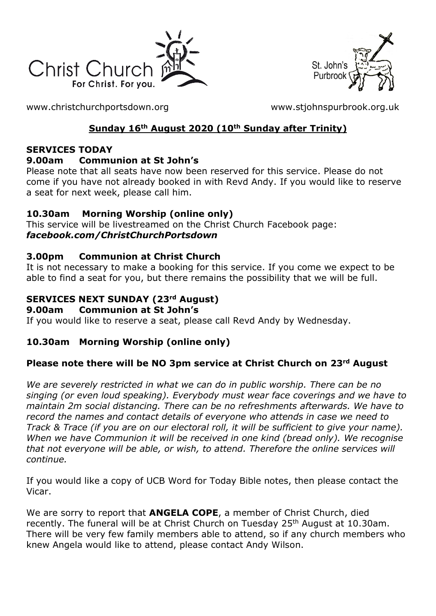



[www.christchurchportsdown.org](http://www.christchurchportsdown.org/) [www.stjohnspurbrook.org.uk](http://www.stjohnspurbrook.org.uk/)

### **Sunday 16th August 2020 (10th Sunday after Trinity)**

#### **SERVICES TODAY**

#### **9.00am Communion at St John's**

Please note that all seats have now been reserved for this service. Please do not come if you have not already booked in with Revd Andy. If you would like to reserve a seat for next week, please call him.

### **10.30am Morning Worship (online only)**

This service will be livestreamed on the Christ Church Facebook page: *[facebook.com/ChristChurchPortsdown](http://www.facebook.com/ChristChurchPortsdown%20at%2010.30)*

#### **3.00pm Communion at Christ Church**

It is not necessary to make a booking for this service. If you come we expect to be able to find a seat for you, but there remains the possibility that we will be full.

#### **SERVICES NEXT SUNDAY (23rd August)**

#### **9.00am Communion at St John's**

If you would like to reserve a seat, please call Revd Andy by Wednesday.

#### **10.30am Morning Worship (online only)**

#### **Please note there will be NO 3pm service at Christ Church on 23rd August**

*We are severely restricted in what we can do in public worship. There can be no singing (or even loud speaking). Everybody must wear face coverings and we have to maintain 2m social distancing. There can be no refreshments afterwards. We have to record the names and contact details of everyone who attends in case we need to Track & Trace (if you are on our electoral roll, it will be sufficient to give your name). When we have Communion it will be received in one kind (bread only). We recognise that not everyone will be able, or wish, to attend. Therefore the online services will continue.*

If you would like a copy of UCB Word for Today Bible notes, then please contact the Vicar.

We are sorry to report that **ANGELA COPE**, a member of Christ Church, died recently. The funeral will be at Christ Church on Tuesday 25<sup>th</sup> August at 10.30am. There will be very few family members able to attend, so if any church members who knew Angela would like to attend, please contact Andy Wilson.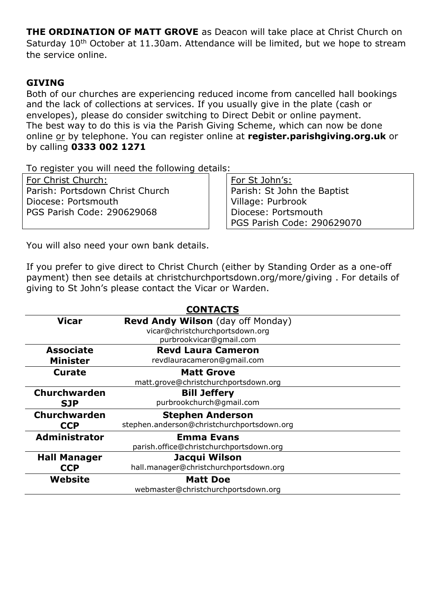**THE ORDINATION OF MATT GROVE** as Deacon will take place at Christ Church on Saturday 10<sup>th</sup> October at 11.30am. Attendance will be limited, but we hope to stream the service online.

#### **GIVING**

Both of our churches are experiencing reduced income from cancelled hall bookings and the lack of collections at services. If you usually give in the plate (cash or envelopes), please do consider switching to Direct Debit or online payment. The best way to do this is via the Parish Giving Scheme, which can now be done online or by telephone. You can register online at **register.parishgiving.org.uk** or by calling **0333 002 1271**

To register you will need the following details:

For Christ Church: Parish: Portsdown Christ Church Diocese: Portsmouth PGS Parish Code: 290629068

For St John's: Parish: St John the Baptist Village: Purbrook Diocese: Portsmouth PGS Parish Code: 290629070

You will also need your own bank details.

If you prefer to give direct to Christ Church (either by Standing Order as a one-off payment) then see details at christchurchportsdown.org/more/giving . For details of giving to St John's please contact the Vicar or Warden.

| <b>CONTACTS</b>      |                                            |
|----------------------|--------------------------------------------|
| <b>Vicar</b>         | <b>Revd Andy Wilson</b> (day off Monday)   |
|                      | vicar@christchurchportsdown.org            |
|                      | purbrookvicar@gmail.com                    |
| <b>Associate</b>     | <b>Revd Laura Cameron</b>                  |
| <b>Minister</b>      | revdlauracameron@gmail.com                 |
| Curate               | <b>Matt Grove</b>                          |
|                      | matt.grove@christchurchportsdown.org       |
| <b>Churchwarden</b>  | <b>Bill Jeffery</b>                        |
| <b>SJP</b>           | purbrookchurch@gmail.com                   |
| Churchwarden         | <b>Stephen Anderson</b>                    |
| <b>CCP</b>           | stephen.anderson@christchurchportsdown.org |
| <b>Administrator</b> | <b>Emma Evans</b>                          |
|                      | parish.office@christchurchportsdown.org    |
| <b>Hall Manager</b>  | Jacqui Wilson                              |
| <b>CCP</b>           | hall.manager@christchurchportsdown.org     |
| Website              | <b>Matt Doe</b>                            |
|                      | webmaster@christchurchportsdown.org        |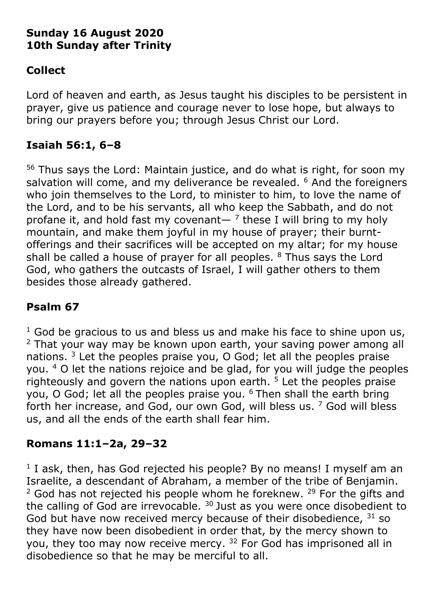## **Sunday 16 August 2020 10th Sunday after Trinity**

# **Collect**

Lord of heaven and earth, as Jesus taught his disciples to be persistent in prayer, give us patience and courage never to lose hope, but always to bring our prayers before you; through Jesus Christ our Lord.

## **Isaiah 56:1, 6–8**

<sup>56</sup> Thus says the Lord: Maintain justice, and do what is right, for soon my salvation will come, and my deliverance be revealed. <sup>6</sup> And the foreigners who join themselves to the Lord, to minister to him, to love the name of the Lord, and to be his servants, all who keep the Sabbath, and do not profane it, and hold fast my covenant—  $<sup>7</sup>$  these I will bring to my holy</sup> mountain, and make them joyful in my house of prayer; their burntofferings and their sacrifices will be accepted on my altar; for my house shall be called a house of prayer for all peoples.  $8$  Thus says the Lord God, who gathers the outcasts of Israel, I will gather others to them besides those already gathered.

# **Psalm 67**

 $1$  God be gracious to us and bless us and make his face to shine upon us,  $2$  That your way may be known upon earth, your saving power among all nations. <sup>3</sup> Let the peoples praise you, O God; let all the peoples praise you. <sup>4</sup> O let the nations rejoice and be glad, for you will judge the peoples righteously and govern the nations upon earth.  $5$  Let the peoples praise you, O God; let all the peoples praise you. <sup>6</sup> Then shall the earth bring forth her increase, and God, our own God, will bless us. <sup>7</sup> God will bless us, and all the ends of the earth shall fear him.

## **Romans 11:1–2a, 29–32**

<sup>1</sup> I ask, then, has God rejected his people? By no means! I myself am an Israelite, a descendant of Abraham, a member of the tribe of Benjamin.  $2$  God has not rejected his people whom he foreknew.  $29$  For the gifts and the calling of God are irrevocable.  $30$  Just as you were once disobedient to God but have now received mercy because of their disobedience,  $31$  so they have now been disobedient in order that, by the mercy shown to you, they too may now receive mercy. <sup>32</sup> For God has imprisoned all in disobedience so that he may be merciful to all.